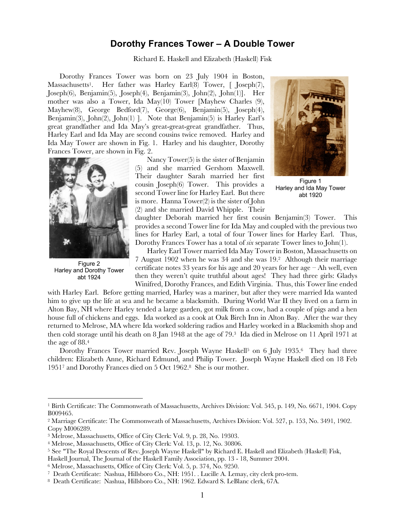## **Dorothy Frances Tower – A Double Tower**

Richard E. Haskell and Elizabeth (Haskell) Fisk

Dorothy Frances Tower was born on 23 July 1904 in Boston, Massachusetts<sup>1</sup>. Her father was Harley Earl(8) Tower, [ Joseph(7), Joseph(6), Benjamin(5), Joseph(4), Benjamin(3), John(2), John(1)]. Her mother was also a Tower, Ida May(10) Tower [Mayhew Charles (9), Mayhew(8), George Bedford(7), George(6), Benjamin(5), Joseph(4), Benjamin(3), John(2), John(1) ]. Note that Benjamin(5) is Harley Earl's great grandfather and Ida May's great-great-great grandfather. Thus, Harley Earl and Ida May are second cousins twice removed. Harley and Ida May Tower are shown in Fig. 1. Harley and his daughter, Dorothy Frances Tower, are shown in Fig. 2.



Figure 2 Harley and Dorothy Tower abt 1924

Nancy Tower(5) is the sister of Benjamin (5) and she married Gershom Maxwell. Their daughter Sarah married her first cousin Joseph(6) Tower. This provides a second Tower line for Harley Earl. But there is more. Hanna Tower(2) is the sister of John (2) and she married David Whipple. Their



Figure 1 Harley and Ida May Tower abt 1920

daughter Deborah married her first cousin Benjamin(3) Tower. This provides a second Tower line for Ida May and coupled with the previous two lines for Harley Earl, a total of four Tower lines for Harley Earl. Thus, Dorothy Frances Tower has a total of *six* separate Tower lines to John(1).

Harley Earl Tower married Ida May Tower in Boston, Massachusetts on 7 August 1902 when he was 34 and she was 19.2 Although their marriage certificate notes 33 years for his age and 20 years for her age  $-$  Ah well, even then they weren't quite truthful about ages! They had three girls: Gladys Winifred, Dorothy Frances, and Edith Virginia. Thus, this Tower line ended

with Harley Earl. Before getting married, Harley was a mariner, but after they were married Ida wanted him to give up the life at sea and he became a blacksmith. During World War II they lived on a farm in Alton Bay, NH where Harley tended a large garden, got milk from a cow, had a couple of pigs and a hen house full of chickens and eggs. Ida worked as a cook at Oak Birch Inn in Alton Bay. After the war they returned to Melrose, MA where Ida worked soldering radios and Harley worked in a Blacksmith shop and then cold storage until his death on 8 Jan 1948 at the age of 79.3 Ida died in Melrose on 11 April 1971 at the age of 88.4

Dorothy Frances Tower married Rev. Joseph Wayne Haskell<sup>5</sup> on 6 July 1935.<sup>6</sup> They had three children: Elizabeth Anne, Richard Edmund, and Philip Tower. Joseph Wayne Haskell died on 18 Feb 19517 and Dorothy Frances died on 5 Oct 1962.8 She is our mother.

<sup>1</sup> Birth Certificate: The Commonweath of Massachusetts, Archives Division: Vol. 545, p. 149, No. 6671, 1904. Copy B009465.

<sup>2</sup> Marriage Certificate: The Commonweath of Massachusetts, Archives Division: Vol. 527, p. 153, No. 3491, 1902. Copy M006289.

<sup>3</sup> Melrose, Massachusetts, Office of City Clerk: Vol. 9, p. 28, No. 19303.

<sup>4</sup> Melrose, Massachusetts, Office of City Clerk: Vol. 13, p. 12, No. 30806.

<sup>5</sup> See "The Royal Descents of Rev. Joseph Wayne Haskell" by Richard E. Haskell and Elizabeth (Haskell) Fisk,

Haskell Journal, The Journal of the Haskell Family Association, pp. 13 - 18, Summer 2004.

<sup>6</sup> Melrose, Massachusetts, Office of City Clerk: Vol. 5, p. 374, No. 9250.

<sup>7</sup> Death Certificate: Nashua, Hillsboro Co., NH: 1951. . Lucille A. Lemay, city clerk pro-tem.

<sup>8</sup> Death Certificate: Nashua, Hillsboro Co., NH: 1962. Edward S. LeBlanc clerk, 67A.